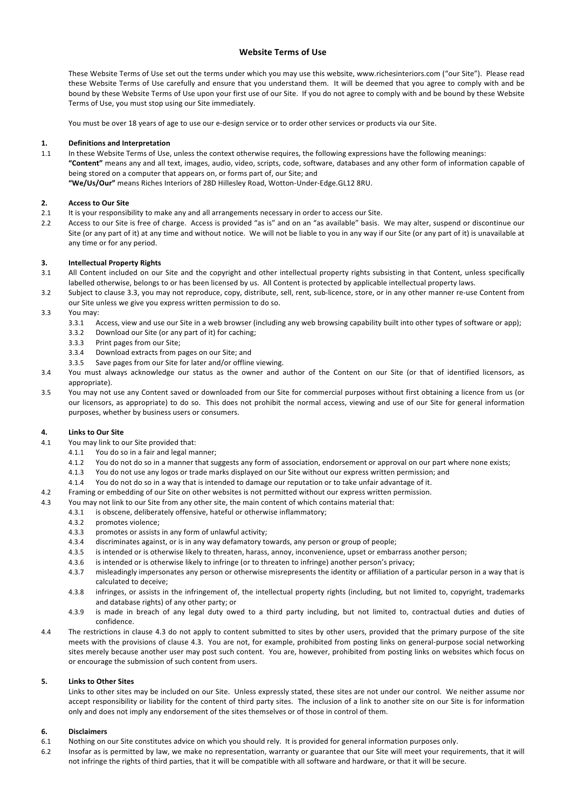# **Website Terms of Use**

These Website Terms of Use set out the terms under which you may use this website, www.richesinteriors.com ("our Site"). Please read these Website Terms of Use carefully and ensure that you understand them. It will be deemed that you agree to comply with and be bound by these Website Terms of Use upon your first use of our Site. If you do not agree to comply with and be bound by these Website Terms of Use, you must stop using our Site immediately.

You must be over 18 years of age to use our e-design service or to order other services or products via our Site.

#### 1. **Definitions and Interpretation**

1.1 In these Website Terms of Use, unless the context otherwise requires, the following expressions have the following meanings: "Content" means any and all text, images, audio, video, scripts, code, software, databases and any other form of information capable of being stored on a computer that appears on, or forms part of, our Site; and "We/Us/Our" means Riches Interiors of 28D Hillesley Road, Wotton-Under-Edge.GL12 8RU.

#### **2. Access to Our Site**

- 2.1 It is your responsibility to make any and all arrangements necessary in order to access our Site.
- 2.2 Access to our Site is free of charge. Access is provided "as is" and on an "as available" basis. We may alter, suspend or discontinue our Site (or any part of it) at any time and without notice. We will not be liable to you in any way if our Site (or any part of it) is unavailable at any time or for any period.

#### **3. Intellectual Property Rights**

- 3.1 All Content included on our Site and the copyright and other intellectual property rights subsisting in that Content, unless specifically labelled otherwise, belongs to or has been licensed by us. All Content is protected by applicable intellectual property laws.
- 3.2 Subject to clause 3.3, you may not reproduce, copy, distribute, sell, rent, sub-licence, store, or in any other manner re-use Content from our Site unless we give you express written permission to do so.
- 3.3 You may:
	- 3.3.1 Access, view and use our Site in a web browser (including any web browsing capability built into other types of software or app);
	- 3.3.2 Download our Site (or any part of it) for caching;
	- 3.3.3 Print pages from our Site;
	- 3.3.4 Download extracts from pages on our Site; and
	- 3.3.5 Save pages from our Site for later and/or offline viewing.
- 3.4 You must always acknowledge our status as the owner and author of the Content on our Site (or that of identified licensors, as appropriate).
- 3.5 You may not use any Content saved or downloaded from our Site for commercial purposes without first obtaining a licence from us (or our licensors, as appropriate) to do so. This does not prohibit the normal access, viewing and use of our Site for general information purposes, whether by business users or consumers.

#### **4. Links to Our Site**

- 4.1 You may link to our Site provided that:
	- 4.1.1 You do so in a fair and legal manner:
	- 4.1.2 You do not do so in a manner that suggests any form of association, endorsement or approval on our part where none exists;
	- 4.1.3 You do not use any logos or trade marks displayed on our Site without our express written permission; and
	- 4.1.4 You do not do so in a way that is intended to damage our reputation or to take unfair advantage of it.
- 4.2 Framing or embedding of our Site on other websites is not permitted without our express written permission.
- 4.3 You may not link to our Site from any other site, the main content of which contains material that:
	- 4.3.1 is obscene, deliberately offensive, hateful or otherwise inflammatory;
	- 4.3.2 promotes violence;
	- 4.3.3 promotes or assists in any form of unlawful activity:
	- 4.3.4 discriminates against, or is in any way defamatory towards, any person or group of people;
	- 4.3.5 is intended or is otherwise likely to threaten, harass, annoy, inconvenience, upset or embarrass another person;
	- 4.3.6 is intended or is otherwise likely to infringe (or to threaten to infringe) another person's privacy;
	- 4.3.7 misleadingly impersonates any person or otherwise misrepresents the identity or affiliation of a particular person in a way that is calculated to deceive:
	- 4.3.8 infringes, or assists in the infringement of, the intellectual property rights (including, but not limited to, copyright, trademarks and database rights) of any other party; or
	- 4.3.9 is made in breach of any legal duty owed to a third party including, but not limited to, contractual duties and duties of confidence.
- 4.4 The restrictions in clause 4.3 do not apply to content submitted to sites by other users, provided that the primary purpose of the site meets with the provisions of clause 4.3. You are not, for example, prohibited from posting links on general-purpose social networking sites merely because another user may post such content. You are, however, prohibited from posting links on websites which focus on or encourage the submission of such content from users.

# **5. Links to Other Sites**

Links to other sites may be included on our Site. Unless expressly stated, these sites are not under our control. We neither assume nor accept responsibility or liability for the content of third party sites. The inclusion of a link to another site on our Site is for information only and does not imply any endorsement of the sites themselves or of those in control of them.

# **6. Disclaimers**

- 6.1 Nothing on our Site constitutes advice on which you should rely. It is provided for general information purposes only.
- 6.2 Insofar as is permitted by law, we make no representation, warranty or guarantee that our Site will meet your requirements, that it will not infringe the rights of third parties, that it will be compatible with all software and hardware, or that it will be secure.